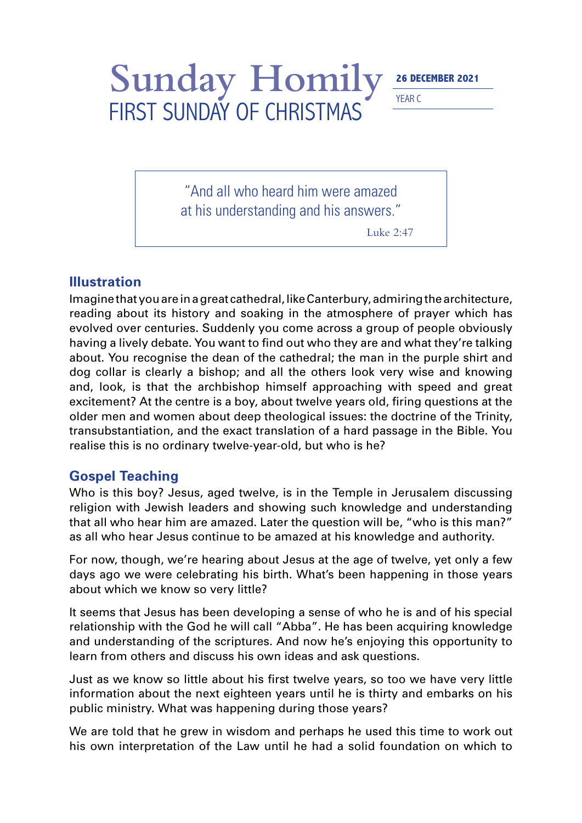## Sunday Homily<sup>26 DECEMBER 2021</sup> FIRST SUNDAY OF CHRISTMAS

YEAR C

"And all who heard him were amazed at his understanding and his answers."

Luke 2:47

## **Illustration**

Imagine that you are in a great cathedral, like Canterbury, admiring the architecture, reading about its history and soaking in the atmosphere of prayer which has evolved over centuries. Suddenly you come across a group of people obviously having a lively debate. You want to find out who they are and what they're talking about. You recognise the dean of the cathedral; the man in the purple shirt and dog collar is clearly a bishop; and all the others look very wise and knowing and, look, is that the archbishop himself approaching with speed and great excitement? At the centre is a boy, about twelve years old, firing questions at the older men and women about deep theological issues: the doctrine of the Trinity, transubstantiation, and the exact translation of a hard passage in the Bible. You realise this is no ordinary twelve-year-old, but who is he?

## **Gospel Teaching**

Who is this boy? Jesus, aged twelve, is in the Temple in Jerusalem discussing religion with Jewish leaders and showing such knowledge and understanding that all who hear him are amazed. Later the question will be, "who is this man?" as all who hear Jesus continue to be amazed at his knowledge and authority.

For now, though, we're hearing about Jesus at the age of twelve, yet only a few days ago we were celebrating his birth. What's been happening in those years about which we know so very little?

It seems that Jesus has been developing a sense of who he is and of his special relationship with the God he will call "Abba". He has been acquiring knowledge and understanding of the scriptures. And now he's enjoying this opportunity to learn from others and discuss his own ideas and ask questions.

Just as we know so little about his first twelve years, so too we have very little information about the next eighteen years until he is thirty and embarks on his public ministry. What was happening during those years?

We are told that he grew in wisdom and perhaps he used this time to work out his own interpretation of the Law until he had a solid foundation on which to